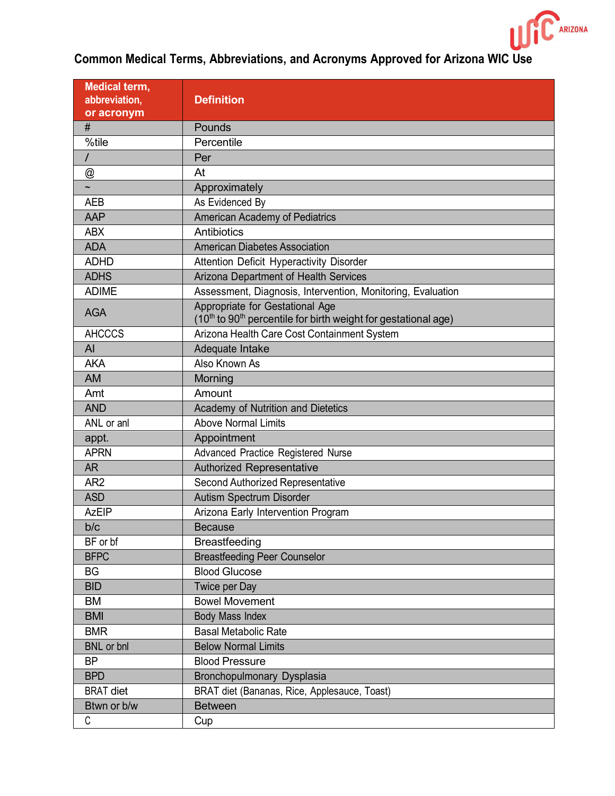

| <b>Medical term,</b>      |                                                                                        |
|---------------------------|----------------------------------------------------------------------------------------|
| abbreviation,             | <b>Definition</b>                                                                      |
| or acronym                |                                                                                        |
| $\#$                      | Pounds                                                                                 |
| %tile                     | Percentile                                                                             |
| T                         | Per                                                                                    |
| $^\text{\textregistered}$ | At                                                                                     |
|                           | Approximately                                                                          |
| <b>AEB</b>                | As Evidenced By                                                                        |
| AAP                       | <b>American Academy of Pediatrics</b>                                                  |
| <b>ABX</b>                | Antibiotics                                                                            |
| <b>ADA</b>                | <b>American Diabetes Association</b>                                                   |
| <b>ADHD</b>               | Attention Deficit Hyperactivity Disorder                                               |
| <b>ADHS</b>               | Arizona Department of Health Services                                                  |
| <b>ADIME</b>              | Assessment, Diagnosis, Intervention, Monitoring, Evaluation                            |
| <b>AGA</b>                | Appropriate for Gestational Age                                                        |
|                           | (10 <sup>th</sup> to 90 <sup>th</sup> percentile for birth weight for gestational age) |
| <b>AHCCCS</b>             | Arizona Health Care Cost Containment System                                            |
| AI                        | Adequate Intake                                                                        |
| <b>AKA</b>                | Also Known As                                                                          |
| <b>AM</b>                 | Morning                                                                                |
| Amt                       | Amount                                                                                 |
| <b>AND</b>                | Academy of Nutrition and Dietetics                                                     |
| ANL or anl                | <b>Above Normal Limits</b>                                                             |
| appt.                     | Appointment                                                                            |
| <b>APRN</b>               | Advanced Practice Registered Nurse                                                     |
| <b>AR</b>                 | <b>Authorized Representative</b>                                                       |
| AR <sub>2</sub>           | Second Authorized Representative                                                       |
| <b>ASD</b>                | <b>Autism Spectrum Disorder</b>                                                        |
| <b>AzEIP</b>              | Arizona Early Intervention Program                                                     |
| b/c                       | <b>Because</b>                                                                         |
| BF or bf                  | <b>Breastfeeding</b>                                                                   |
| <b>BFPC</b>               | <b>Breastfeeding Peer Counselor</b>                                                    |
| <b>BG</b>                 | <b>Blood Glucose</b>                                                                   |
| <b>BID</b>                | <b>Twice per Day</b>                                                                   |
| BM                        | <b>Bowel Movement</b>                                                                  |
| <b>BMI</b>                | <b>Body Mass Index</b>                                                                 |
| <b>BMR</b>                | <b>Basal Metabolic Rate</b>                                                            |
| <b>BNL</b> or bnl         | <b>Below Normal Limits</b>                                                             |
| <b>BP</b>                 | <b>Blood Pressure</b>                                                                  |
| <b>BPD</b>                | <b>Bronchopulmonary Dysplasia</b>                                                      |
| <b>BRAT</b> diet          | BRAT diet (Bananas, Rice, Applesauce, Toast)                                           |
| Btwn or b/w               | <b>Between</b>                                                                         |
| C                         | Cup                                                                                    |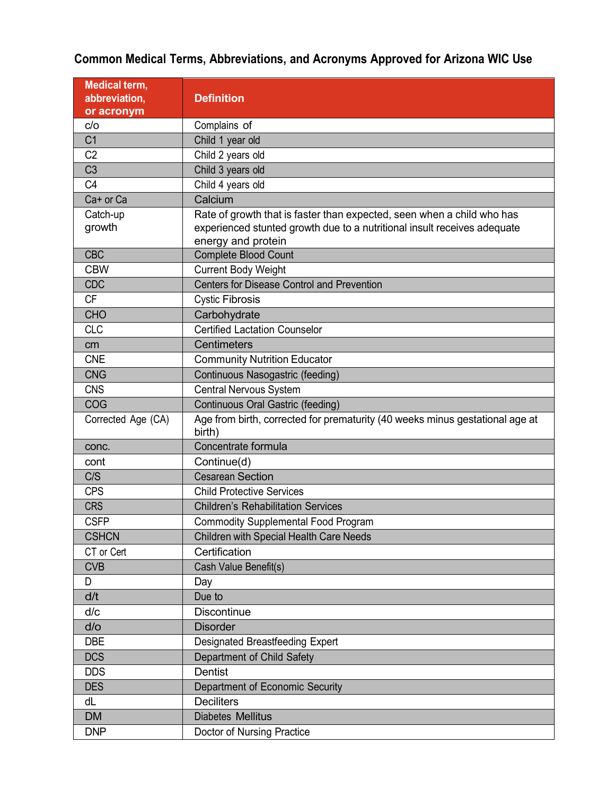| <b>Medical term,</b> |                                                                                        |
|----------------------|----------------------------------------------------------------------------------------|
| abbreviation,        | <b>Definition</b>                                                                      |
| or acronym           |                                                                                        |
| C/O                  | Complains of                                                                           |
| C <sub>1</sub>       | Child 1 year old                                                                       |
| C <sub>2</sub>       | Child 2 years old                                                                      |
| C <sub>3</sub>       | Child 3 years old                                                                      |
| C <sub>4</sub>       | Child 4 years old                                                                      |
| Ca+ or Ca            | Calcium                                                                                |
| Catch-up             | Rate of growth that is faster than expected, seen when a child who has                 |
| growth               | experienced stunted growth due to a nutritional insult receives adequate               |
|                      | energy and protein                                                                     |
| <b>CBC</b>           | <b>Complete Blood Count</b>                                                            |
| <b>CBW</b>           | <b>Current Body Weight</b>                                                             |
| <b>CDC</b>           | <b>Centers for Disease Control and Prevention</b>                                      |
| <b>CF</b>            | <b>Cystic Fibrosis</b>                                                                 |
| <b>CHO</b>           | Carbohydrate                                                                           |
| <b>CLC</b>           | <b>Certified Lactation Counselor</b>                                                   |
| cm                   | <b>Centimeters</b>                                                                     |
| <b>CNE</b>           | <b>Community Nutrition Educator</b>                                                    |
| <b>CNG</b>           | Continuous Nasogastric (feeding)                                                       |
| <b>CNS</b>           | <b>Central Nervous System</b>                                                          |
| COG                  | Continuous Oral Gastric (feeding)                                                      |
| Corrected Age (CA)   | Age from birth, corrected for prematurity (40 weeks minus gestational age at<br>birth) |
| conc.                | Concentrate formula                                                                    |
| cont                 | Continue(d)                                                                            |
| C/S                  | <b>Cesarean Section</b>                                                                |
| <b>CPS</b>           | <b>Child Protective Services</b>                                                       |
| <b>CRS</b>           | <b>Children's Rehabilitation Services</b>                                              |
| <b>CSFP</b>          | <b>Commodity Supplemental Food Program</b>                                             |
| <b>CSHCN</b>         | <b>Children with Special Health Care Needs</b>                                         |
| CT or Cert           | Certification                                                                          |
| <b>CVB</b>           | Cash Value Benefit(s)                                                                  |
| D                    | Day                                                                                    |
| d/t                  | Due to                                                                                 |
| d/c                  | <b>Discontinue</b>                                                                     |
| $d$ /o               | <b>Disorder</b>                                                                        |
| <b>DBE</b>           | Designated Breastfeeding Expert                                                        |
| <b>DCS</b>           | Department of Child Safety                                                             |
| <b>DDS</b>           | Dentist                                                                                |
| <b>DES</b>           | Department of Economic Security                                                        |
| dL                   | <b>Deciliters</b>                                                                      |
| <b>DM</b>            | <b>Diabetes Mellitus</b>                                                               |
| <b>DNP</b>           | Doctor of Nursing Practice                                                             |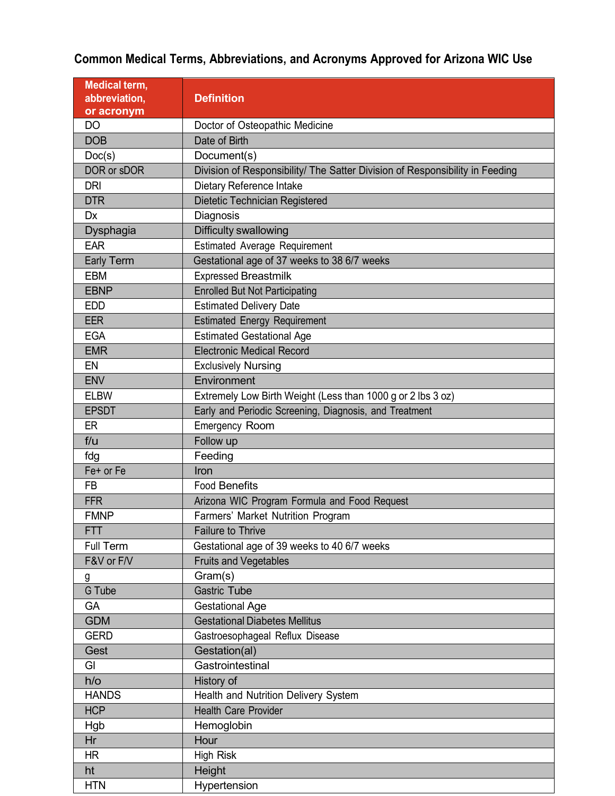| <b>Medical term,</b>       |                                                                                   |
|----------------------------|-----------------------------------------------------------------------------------|
| abbreviation,              | <b>Definition</b>                                                                 |
| or acronym<br><b>DO</b>    | Doctor of Osteopathic Medicine                                                    |
| <b>DOB</b>                 | Date of Birth                                                                     |
| Doc(s)                     | Document(s)                                                                       |
| DOR or sDOR                | Division of Responsibility/ The Satter Division of Responsibility in Feeding      |
| <b>DRI</b>                 | Dietary Reference Intake                                                          |
| <b>DTR</b>                 | Dietetic Technician Registered                                                    |
| <b>Dx</b>                  | Diagnosis                                                                         |
| Dysphagia                  | Difficulty swallowing                                                             |
| <b>EAR</b>                 | <b>Estimated Average Requirement</b>                                              |
| <b>Early Term</b>          | Gestational age of 37 weeks to 38 6/7 weeks                                       |
| <b>EBM</b>                 | <b>Expressed Breastmilk</b>                                                       |
| <b>EBNP</b>                | <b>Enrolled But Not Participating</b>                                             |
| <b>EDD</b>                 | <b>Estimated Delivery Date</b>                                                    |
| <b>EER</b>                 | <b>Estimated Energy Requirement</b>                                               |
| <b>EGA</b>                 | <b>Estimated Gestational Age</b>                                                  |
| <b>EMR</b>                 | <b>Electronic Medical Record</b>                                                  |
| EN                         |                                                                                   |
| <b>ENV</b>                 | <b>Exclusively Nursing</b><br>Environment                                         |
| <b>ELBW</b>                |                                                                                   |
| <b>EPSDT</b>               | Extremely Low Birth Weight (Less than 1000 g or 2 lbs 3 oz)                       |
|                            | Early and Periodic Screening, Diagnosis, and Treatment                            |
| ER                         | <b>Emergency Room</b>                                                             |
| f/u                        | Follow up                                                                         |
| fdg<br>Fe+ or Fe           | Feeding                                                                           |
|                            | Iron                                                                              |
| <b>FB</b>                  | <b>Food Benefits</b>                                                              |
| <b>FFR</b><br><b>FMNP</b>  | Arizona WIC Program Formula and Food Request<br>Farmers' Market Nutrition Program |
|                            |                                                                                   |
| <b>FTT</b>                 | <b>Failure to Thrive</b>                                                          |
| Full Term                  | Gestational age of 39 weeks to 40 6/7 weeks                                       |
| F&V or F/V                 | <b>Fruits and Vegetables</b>                                                      |
| g                          | Gram(s)<br><b>Gastric Tube</b>                                                    |
| G Tube                     |                                                                                   |
| GA                         | <b>Gestational Age</b><br><b>Gestational Diabetes Mellitus</b>                    |
| <b>GDM</b>                 |                                                                                   |
| <b>GERD</b>                | Gastroesophageal Reflux Disease                                                   |
| Gest                       | Gestation(al)<br>Gastrointestinal                                                 |
| GI                         |                                                                                   |
| $h$ / $o$                  | History of                                                                        |
| <b>HANDS</b><br><b>HCP</b> | Health and Nutrition Delivery System<br><b>Health Care Provider</b>               |
|                            |                                                                                   |
| Hgb                        | Hemoglobin                                                                        |
| Hr                         | Hour                                                                              |
| <b>HR</b>                  | <b>High Risk</b>                                                                  |
| ht                         | Height                                                                            |
| <b>HTN</b>                 | Hypertension                                                                      |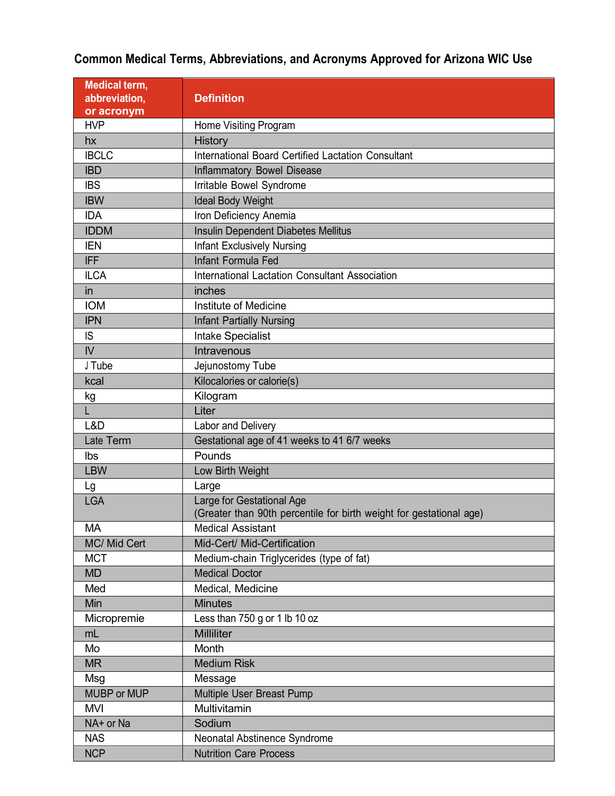| <b>Medical term,</b> |                                                                                                  |
|----------------------|--------------------------------------------------------------------------------------------------|
| abbreviation,        | <b>Definition</b>                                                                                |
| or acronym           |                                                                                                  |
| <b>HVP</b>           | Home Visiting Program                                                                            |
| hx                   | <b>History</b>                                                                                   |
| <b>IBCLC</b>         | International Board Certified Lactation Consultant                                               |
| <b>IBD</b>           | <b>Inflammatory Bowel Disease</b>                                                                |
| <b>IBS</b>           | Irritable Bowel Syndrome                                                                         |
| <b>IBW</b>           | <b>Ideal Body Weight</b>                                                                         |
| <b>IDA</b>           | Iron Deficiency Anemia                                                                           |
| <b>IDDM</b>          | Insulin Dependent Diabetes Mellitus                                                              |
| <b>IEN</b>           | <b>Infant Exclusively Nursing</b>                                                                |
| <b>IFF</b>           | <b>Infant Formula Fed</b>                                                                        |
| <b>ILCA</b>          | <b>International Lactation Consultant Association</b>                                            |
| in                   | inches                                                                                           |
| <b>IOM</b>           | Institute of Medicine                                                                            |
| <b>IPN</b>           | <b>Infant Partially Nursing</b>                                                                  |
| <b>IS</b>            | <b>Intake Specialist</b>                                                                         |
| $\mathsf{IV}$        | Intravenous                                                                                      |
| J Tube               | Jejunostomy Tube                                                                                 |
| kcal                 | Kilocalories or calorie(s)                                                                       |
| kg                   | Kilogram                                                                                         |
| L.                   | Liter                                                                                            |
| L&D                  | Labor and Delivery                                                                               |
| Late Term            | Gestational age of 41 weeks to 41 6/7 weeks                                                      |
| Ibs                  | Pounds                                                                                           |
| <b>LBW</b>           | Low Birth Weight                                                                                 |
| Lg                   | Large                                                                                            |
| <b>LGA</b>           | Large for Gestational Age<br>(Greater than 90th percentile for birth weight for gestational age) |
| МA                   | <b>Medical Assistant</b>                                                                         |
| MC/ Mid Cert         | Mid-Cert/ Mid-Certification                                                                      |
| <b>MCT</b>           | Medium-chain Triglycerides (type of fat)                                                         |
| <b>MD</b>            | <b>Medical Doctor</b>                                                                            |
| Med                  | Medical, Medicine                                                                                |
| Min                  | <b>Minutes</b>                                                                                   |
| Micropremie          | Less than 750 g or 1 lb 10 oz                                                                    |
| mL                   | <b>Milliliter</b>                                                                                |
| Mo                   | Month                                                                                            |
| <b>MR</b>            | <b>Medium Risk</b>                                                                               |
| Msg                  | Message                                                                                          |
| <b>MUBP or MUP</b>   | Multiple User Breast Pump                                                                        |
| <b>MVI</b>           | Multivitamin                                                                                     |
| NA+ or Na            | Sodium                                                                                           |
| <b>NAS</b>           | Neonatal Abstinence Syndrome                                                                     |
| <b>NCP</b>           | <b>Nutrition Care Process</b>                                                                    |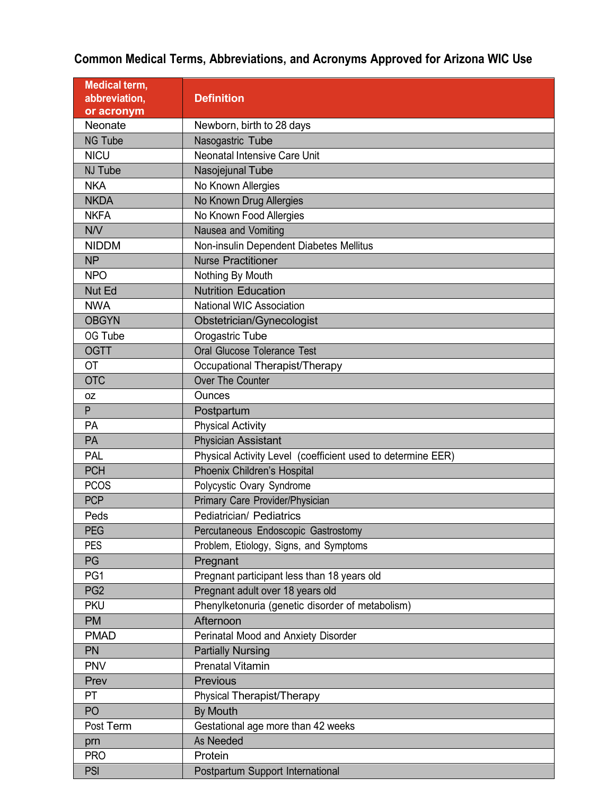| <b>Medical term,</b><br>abbreviation, | <b>Definition</b>                                           |
|---------------------------------------|-------------------------------------------------------------|
| or acronym                            |                                                             |
| Neonate                               | Newborn, birth to 28 days                                   |
| <b>NG Tube</b>                        | Nasogastric Tube                                            |
| <b>NICU</b>                           | Neonatal Intensive Care Unit                                |
| NJ Tube                               | Nasojejunal Tube                                            |
| <b>NKA</b>                            | No Known Allergies                                          |
| <b>NKDA</b>                           | No Known Drug Allergies                                     |
| <b>NKFA</b>                           | No Known Food Allergies                                     |
| N/V                                   | Nausea and Vomiting                                         |
| <b>NIDDM</b>                          | Non-insulin Dependent Diabetes Mellitus                     |
| <b>NP</b>                             | <b>Nurse Practitioner</b>                                   |
| <b>NPO</b>                            | Nothing By Mouth                                            |
| Nut Ed                                | <b>Nutrition Education</b>                                  |
| <b>NWA</b>                            | <b>National WIC Association</b>                             |
| <b>OBGYN</b>                          | Obstetrician/Gynecologist                                   |
| OG Tube                               | Orogastric Tube                                             |
| <b>OGTT</b>                           | Oral Glucose Tolerance Test                                 |
| <b>OT</b>                             | Occupational Therapist/Therapy                              |
| <b>OTC</b>                            | <b>Over The Counter</b>                                     |
| 0Z                                    | <b>Ounces</b>                                               |
| P                                     | Postpartum                                                  |
| PA                                    | <b>Physical Activity</b>                                    |
| PA                                    | <b>Physician Assistant</b>                                  |
| <b>PAL</b>                            | Physical Activity Level (coefficient used to determine EER) |
| <b>PCH</b>                            | Phoenix Children's Hospital                                 |
| <b>PCOS</b>                           | Polycystic Ovary Syndrome                                   |
| <b>PCP</b>                            | Primary Care Provider/Physician                             |
| Peds                                  | Pediatrician/ Pediatrics                                    |
| <b>PEG</b>                            | Percutaneous Endoscopic Gastrostomy                         |
| <b>PES</b>                            | Problem, Etiology, Signs, and Symptoms                      |
| PG                                    | Pregnant                                                    |
| PG1                                   | Pregnant participant less than 18 years old                 |
| PG <sub>2</sub>                       | Pregnant adult over 18 years old                            |
| <b>PKU</b>                            | Phenylketonuria (genetic disorder of metabolism)            |
| <b>PM</b>                             | Afternoon                                                   |
| <b>PMAD</b>                           | Perinatal Mood and Anxiety Disorder                         |
| PN                                    | <b>Partially Nursing</b>                                    |
| <b>PNV</b>                            | <b>Prenatal Vitamin</b>                                     |
| Prev                                  | Previous                                                    |
| PT                                    | Physical Therapist/Therapy                                  |
| PO                                    | <b>By Mouth</b>                                             |
| Post Term                             | Gestational age more than 42 weeks                          |
| prn                                   | <b>As Needed</b>                                            |
| <b>PRO</b>                            | Protein                                                     |
| <b>PSI</b>                            | Postpartum Support International                            |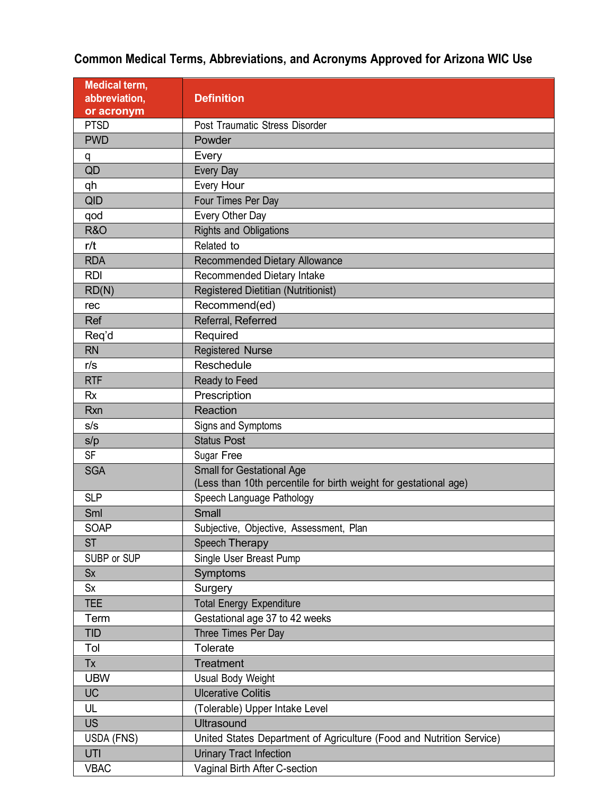| Medical term,<br>abbreviation,<br>or acronym | <b>Definition</b>                                                                                    |
|----------------------------------------------|------------------------------------------------------------------------------------------------------|
| <b>PTSD</b>                                  | Post Traumatic Stress Disorder                                                                       |
| <b>PWD</b>                                   | Powder                                                                                               |
| q                                            | Every                                                                                                |
| QD                                           | Every Day                                                                                            |
| qh                                           | Every Hour                                                                                           |
| <b>QID</b>                                   | Four Times Per Day                                                                                   |
| qod                                          | Every Other Day                                                                                      |
| <b>R&amp;O</b>                               | <b>Rights and Obligations</b>                                                                        |
| r/t                                          | Related to                                                                                           |
| <b>RDA</b>                                   | <b>Recommended Dietary Allowance</b>                                                                 |
| <b>RDI</b>                                   | Recommended Dietary Intake                                                                           |
| RD(N)                                        | <b>Registered Dietitian (Nutritionist)</b>                                                           |
| rec                                          | Recommend(ed)                                                                                        |
| Ref                                          | Referral, Referred                                                                                   |
| Req'd                                        | Required                                                                                             |
| <b>RN</b>                                    | <b>Registered Nurse</b>                                                                              |
| r/s                                          | Reschedule                                                                                           |
| <b>RTF</b>                                   | Ready to Feed                                                                                        |
| <b>Rx</b>                                    | Prescription                                                                                         |
| <b>Rxn</b>                                   | Reaction                                                                                             |
| s/s                                          | Signs and Symptoms                                                                                   |
| s/p                                          | <b>Status Post</b>                                                                                   |
| <b>SF</b>                                    | Sugar Free                                                                                           |
| <b>SGA</b>                                   | <b>Small for Gestational Age</b><br>(Less than 10th percentile for birth weight for gestational age) |
| <b>SLP</b>                                   | Speech Language Pathology                                                                            |
| Sml                                          | <b>Small</b>                                                                                         |
| <b>SOAP</b>                                  | Subjective, Objective, Assessment, Plan                                                              |
| <b>ST</b>                                    | Speech Therapy                                                                                       |
| SUBP or SUP                                  | Single User Breast Pump                                                                              |
| <b>Sx</b>                                    | Symptoms                                                                                             |
| <b>Sx</b>                                    | Surgery                                                                                              |
| <b>TEE</b>                                   | <b>Total Energy Expenditure</b>                                                                      |
| Term                                         | Gestational age 37 to 42 weeks                                                                       |
| <b>TID</b>                                   | Three Times Per Day                                                                                  |
| Tol                                          | Tolerate                                                                                             |
| Tx                                           | Treatment                                                                                            |
| <b>UBW</b>                                   | <b>Usual Body Weight</b>                                                                             |
| <b>UC</b>                                    | <b>Ulcerative Colitis</b>                                                                            |
| UL                                           | (Tolerable) Upper Intake Level                                                                       |
| <b>US</b>                                    | <b>Ultrasound</b>                                                                                    |
| USDA (FNS)                                   | United States Department of Agriculture (Food and Nutrition Service)                                 |
| UTI                                          | <b>Urinary Tract Infection</b>                                                                       |
| <b>VBAC</b>                                  | Vaginal Birth After C-section                                                                        |